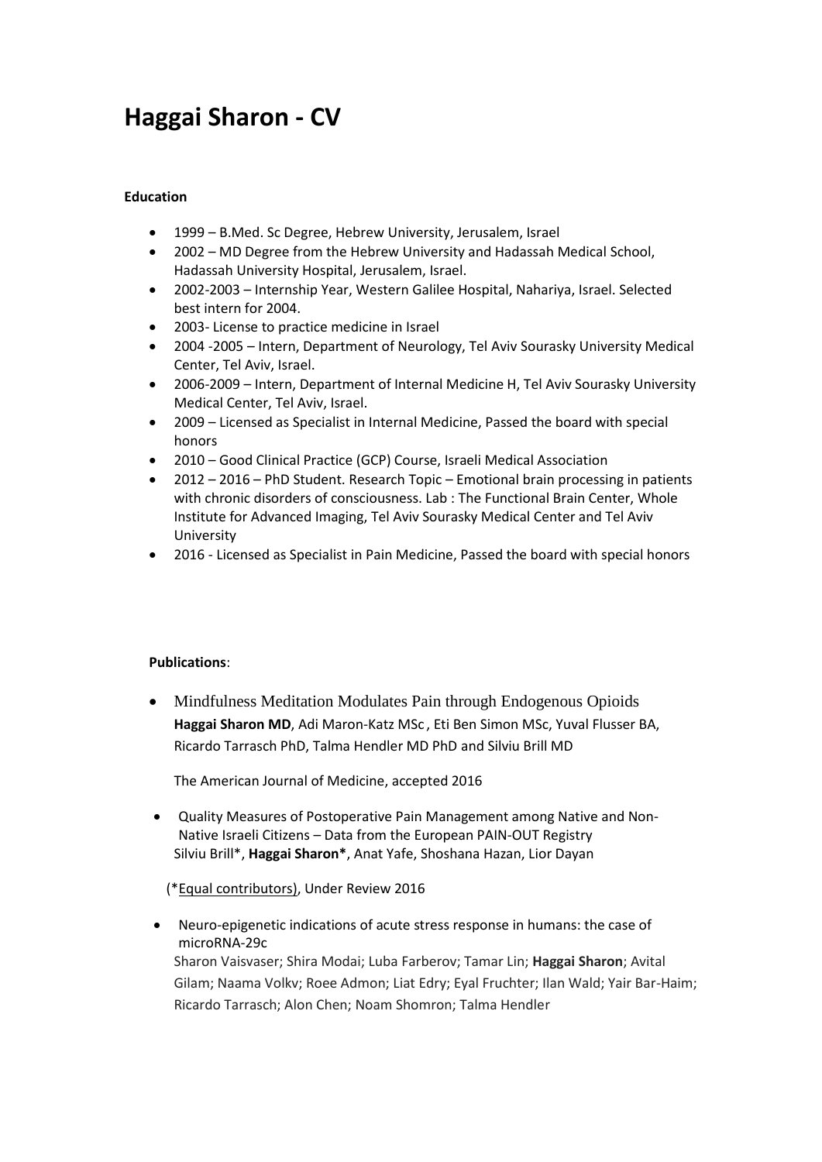# **Haggai Sharon - CV**

### **Education**

- 1999 B.Med. Sc Degree, Hebrew University, Jerusalem, Israel
- 2002 MD Degree from the Hebrew University and Hadassah Medical School, Hadassah University Hospital, Jerusalem, Israel.
- 2002-2003 Internship Year, Western Galilee Hospital, Nahariya, Israel. Selected best intern for 2004.
- 2003- License to practice medicine in Israel
- 2004 -2005 Intern, Department of Neurology, Tel Aviv Sourasky University Medical Center, Tel Aviv, Israel.
- 2006-2009 Intern, Department of Internal Medicine H, Tel Aviv Sourasky University Medical Center, Tel Aviv, Israel.
- 2009 Licensed as Specialist in Internal Medicine, Passed the board with special honors
- 2010 Good Clinical Practice (GCP) Course, Israeli Medical Association
- 2012 2016 PhD Student. Research Topic Emotional brain processing in patients with chronic disorders of consciousness. Lab : The Functional Brain Center, Whole Institute for Advanced Imaging, Tel Aviv Sourasky Medical Center and Tel Aviv University
- 2016 Licensed as Specialist in Pain Medicine, Passed the board with special honors

#### **Publications**:

 Mindfulness Meditation Modulates Pain through Endogenous Opioids **Haggai Sharon MD**, Adi Maron-Katz MSc , Eti Ben Simon MSc, Yuval Flusser BA, Ricardo Tarrasch PhD, Talma Hendler MD PhD and Silviu Brill MD

The American Journal of Medicine, accepted 2016

 Quality Measures of Postoperative Pain Management among Native and Non-Native Israeli Citizens – Data from the European PAIN-OUT Registry Silviu Brill\*, **Haggai Sharon\***, Anat Yafe, Shoshana Hazan, Lior Dayan

#### (\*Equal contributors), Under Review 2016

 Neuro-epigenetic indications of acute stress response in humans: the case of microRNA-29c Sharon Vaisvaser; Shira Modai; Luba Farberov; Tamar Lin; **Haggai Sharon**; Avital Gilam; Naama Volkv; Roee Admon; Liat Edry; Eyal Fruchter; Ilan Wald; Yair Bar-Haim; Ricardo Tarrasch; Alon Chen; Noam Shomron; Talma Hendler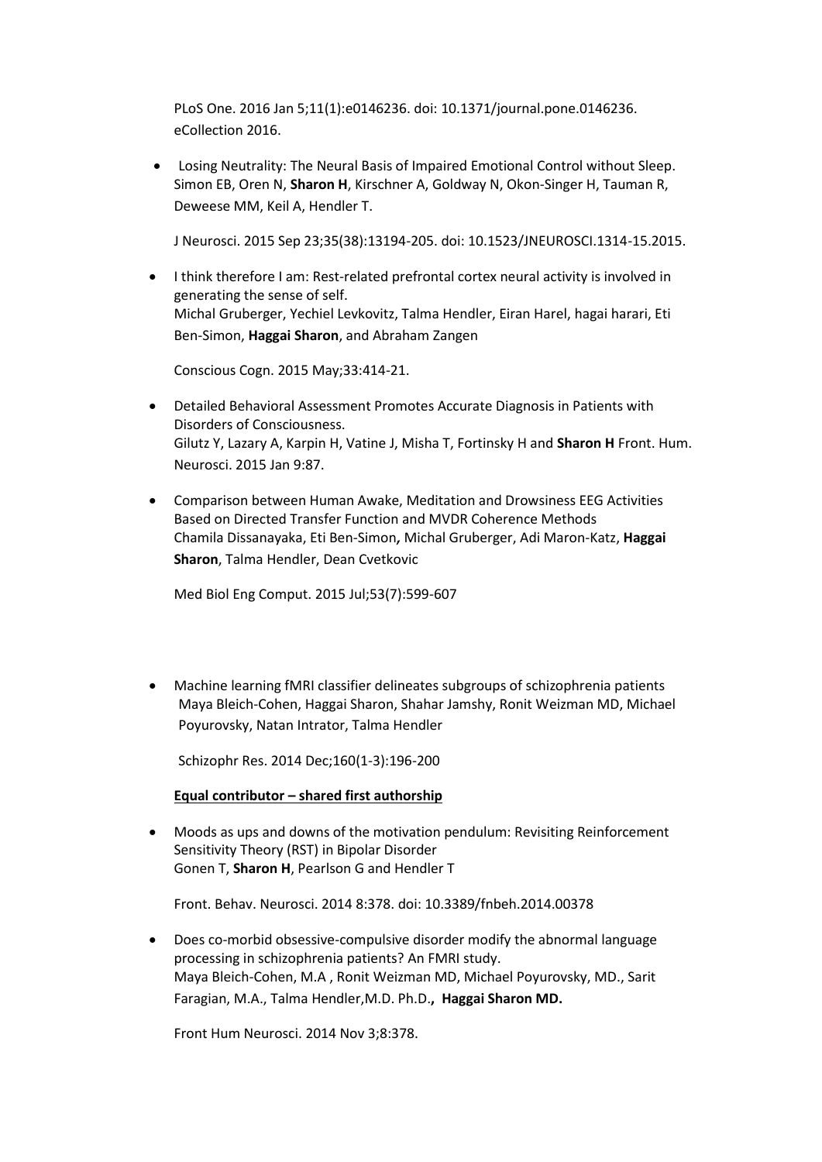PLoS One. 2016 Jan 5;11(1):e0146236. doi: 10.1371/journal.pone.0146236. eCollection 2016.

 Losing Neutrality: The Neural Basis of Impaired Emotional Control without Sleep. Simon EB, Oren N, **Sharon H**, Kirschner A, Goldway N, Okon-Singer H, Tauman R, Deweese MM, Keil A, Hendler T.

J Neurosci. 2015 Sep 23;35(38):13194-205. doi: 10.1523/JNEUROSCI.1314-15.2015.

 I think therefore I am: Rest-related prefrontal cortex neural activity is involved in generating the sense of self. Michal Gruberger, Yechiel Levkovitz, Talma Hendler, Eiran Harel, hagai harari, Eti Ben-Simon, **Haggai Sharon**, and Abraham Zangen

[Conscious Cogn.](http://www.ncbi.nlm.nih.gov/pubmed/?term=i+think+therefore+i+am+Rest-related+prefrontal+cortex+neural+activity+is+involved+in+generating+the+sense+of+self) 2015 May;33:414-21.

- Detailed Behavioral Assessment Promotes Accurate Diagnosis in Patients with Disorders of Consciousness. Gilutz Y, Lazary A, Karpin H, Vatine J, Misha T, Fortinsky H and **Sharon H** Front. Hum. Neurosci. 2015 Jan 9:87.
- Comparison between Human Awake, Meditation and Drowsiness EEG Activities Based on Directed Transfer Function and MVDR Coherence Methods Chamila Dissanayaka, Eti Ben-Simon**,** Michal Gruberger, Adi Maron-Katz, **Haggai Sharon**, Talma Hendler, Dean Cvetkovic

[Med Biol Eng Comput.](http://www.ncbi.nlm.nih.gov/pubmed/?term=%E2%80%A2%09Comparison+between+Human+Awake%2C+Meditation+and+Drowsiness+EEG+Activities+Based+on+Directed+Transfer+Function+and+MVDR+Coherence+Methods) 2015 Jul;53(7):599-607

 Machine learning fMRI classifier delineates subgroups of schizophrenia patients Maya Bleich-Cohen, Haggai Sharon, Shahar Jamshy, Ronit Weizman MD, Michael Poyurovsky, Natan Intrator, Talma Hendler

Schizophr Res. 2014 Dec;160(1-3):196-200

#### **Equal contributor – shared first authorship**

 Moods as ups and downs of the motivation pendulum: Revisiting Reinforcement Sensitivity Theory (RST) in Bipolar Disorder Gonen T, **Sharon H**, Pearlson G and Hendler T

Front. Behav. Neurosci. 2014 8:378. doi: 10.3389/fnbeh.2014.00378

 [Does co-morbid obsessive-compulsive disorder modify the abnormal language](http://www.ncbi.nlm.nih.gov/pubmed/25120459)  [processing in schizophrenia patients? An FMRI study.](http://www.ncbi.nlm.nih.gov/pubmed/25120459) Maya Bleich-Cohen, M.A , Ronit Weizman MD, Michael Poyurovsky, MD., Sarit Faragian, M.A., Talma Hendler,M.D. Ph.D.**, Haggai Sharon MD.**

Front Hum Neurosci. 2014 Nov 3;8:378.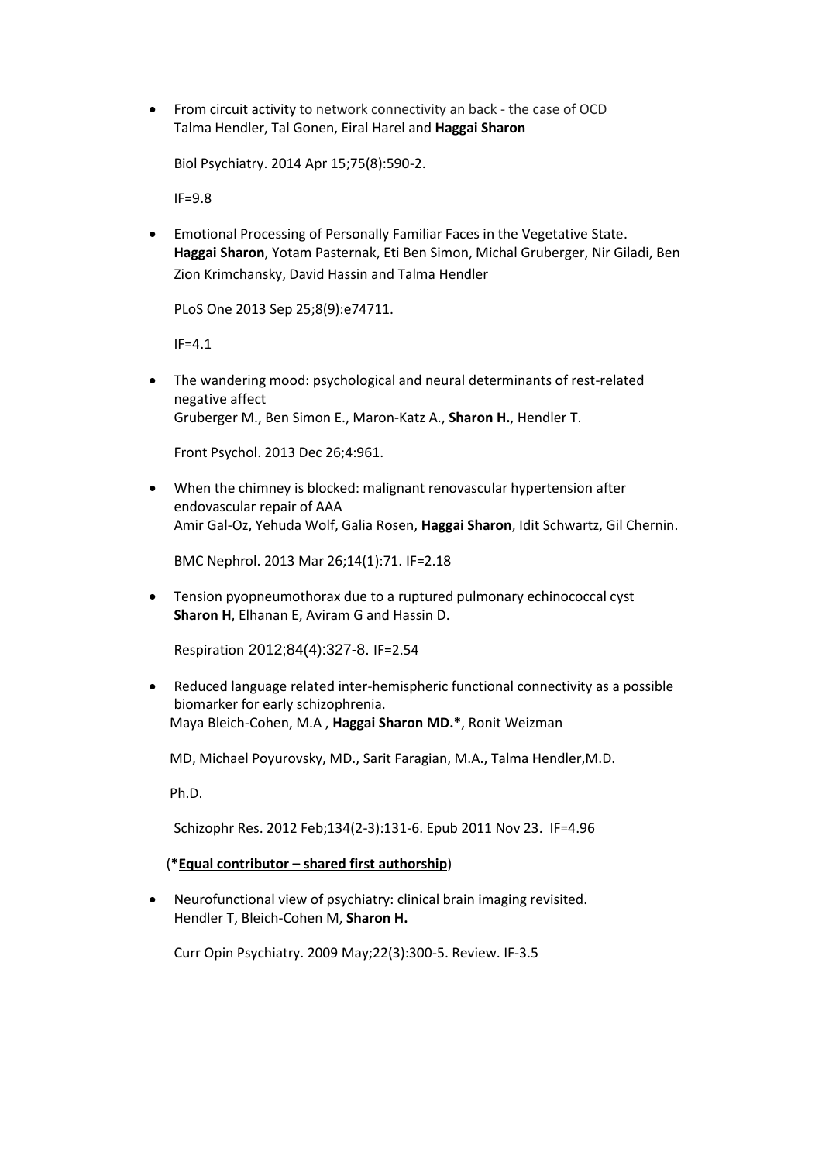From circuit activity to network connectivity an back - the case of OCD Talma Hendler, Tal Gonen, Eiral Harel and **Haggai Sharon**

Biol Psychiatry. 2014 Apr 15;75(8):590-2.

IF=9.8

 Emotional Processing of Personally Familiar Faces in the Vegetative State. **Haggai Sharon**, Yotam Pasternak, Eti Ben Simon, Michal Gruberger, Nir Giladi, Ben Zion Krimchansky, David Hassin and Talma Hendler

PLoS One 2013 Sep 25;8(9):e74711.

 $IF=4.1$ 

 The wandering mood: psychological and neural determinants of rest-related negative affect Gruberger M., Ben Simon E., Maron-Katz A., **Sharon H.**, Hendler T.

Front Psychol. 2013 Dec 26;4:961.

 When the chimney is blocked: malignant renovascular hypertension after endovascular repair of AAA Amir Gal-Oz, Yehuda Wolf, Galia Rosen, **Haggai Sharon**, Idit Schwartz, Gil Chernin.

BMC Nephrol. 2013 Mar 26;14(1):71. IF=2.18

 Tension pyopneumothorax due to a ruptured pulmonary echinococcal cyst **Sharon H**, Elhanan E, Aviram G and Hassin D.

Respiration 2012;84(4):327-8. IF=2.54

 Reduced language related inter-hemispheric functional connectivity as a possible biomarker for early schizophrenia. Maya Bleich-Cohen, M.A , **Haggai Sharon MD.\***, Ronit Weizman

MD, Michael Poyurovsky, MD., Sarit Faragian, M.A., Talma Hendler,M.D.

Ph.D.

Schizophr Res. 2012 Feb;134(2-3):131-6. Epub 2011 Nov 23. IF=4.96

(**\*Equal contributor – shared first authorship**)

 Neurofunctional view of psychiatry: clinical brain imaging revisited. Hendler T, Bleich-Cohen M, **Sharon H.**

Curr Opin Psychiatry. 2009 May;22(3):300-5. Review. IF-3.5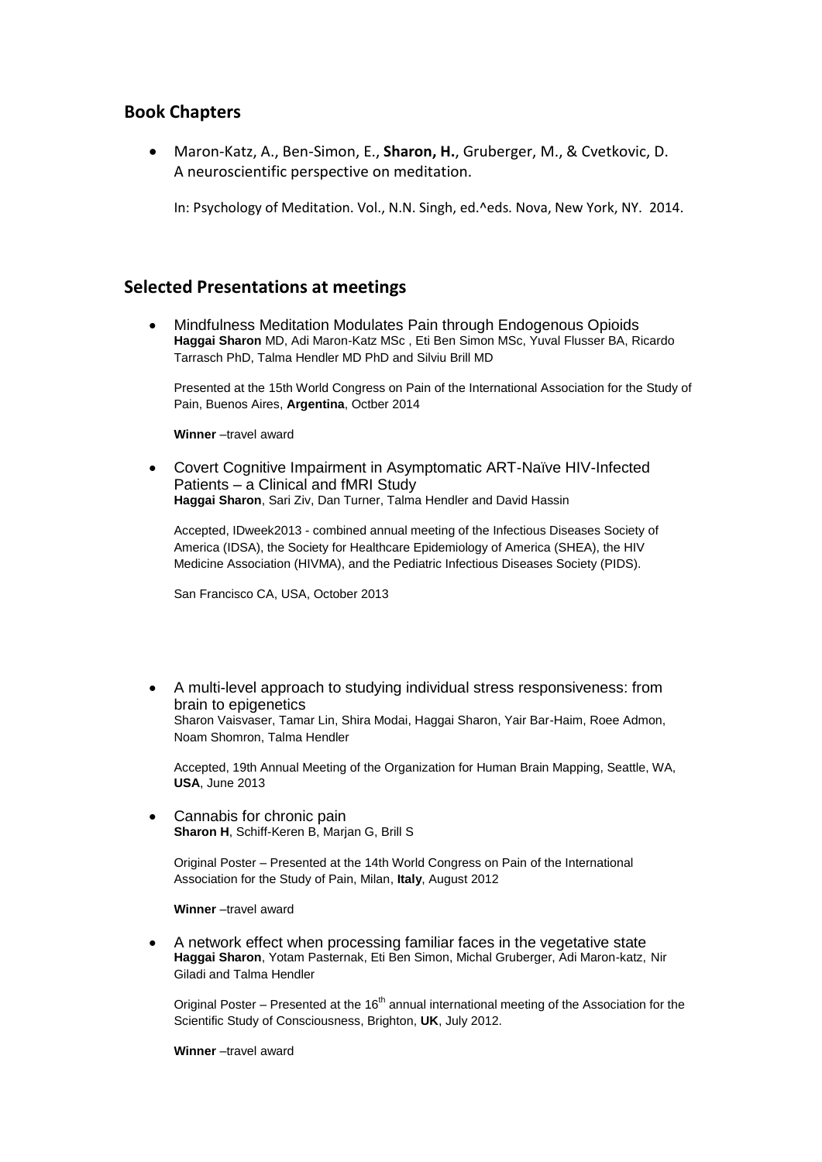# **Book Chapters**

 Maron-Katz, A., Ben-Simon, E., **Sharon, H.**, Gruberger, M., & Cvetkovic, D. A neuroscientific perspective on meditation.

In: Psychology of Meditation. Vol., N.N. Singh, ed.^eds. Nova, New York, NY. 2014.

## **Selected Presentations at meetings**

 Mindfulness Meditation Modulates Pain through Endogenous Opioids **Haggai Sharon** MD, Adi Maron-Katz MSc , Eti Ben Simon MSc, Yuval Flusser BA, Ricardo Tarrasch PhD, Talma Hendler MD PhD and Silviu Brill MD

Presented at the 15th World Congress on Pain of the International Association for the Study of Pain, Buenos Aires, **Argentina**, Octber 2014

**Winner** –travel award

 Covert Cognitive Impairment in Asymptomatic ART-Naïve HIV-Infected Patients – a Clinical and fMRI Study **Haggai Sharon**, Sari Ziv, Dan Turner, Talma Hendler and David Hassin

Accepted, IDweek2013 - combined annual meeting of the Infectious Diseases Society of America (IDSA), the Society for Healthcare Epidemiology of America (SHEA), the HIV Medicine Association (HIVMA), and the Pediatric Infectious Diseases Society (PIDS).

San Francisco CA, USA, October 2013

 A multi-level approach to studying individual stress responsiveness: from brain to epigenetics Sharon Vaisvaser, Tamar Lin, Shira Modai, Haggai Sharon, Yair Bar-Haim, Roee Admon, Noam Shomron, Talma Hendler

Accepted, 19th Annual Meeting of the Organization for Human Brain Mapping, Seattle, WA, **USA**, June 2013

 Cannabis for chronic pain **Sharon H**, Schiff-Keren B, Marjan G, Brill S

Original Poster – Presented at the 14th World Congress on Pain of the International Association for the Study of Pain, Milan, **Italy**, August 2012

**Winner** –travel award

 A network effect when processing familiar faces in the vegetative state **Haggai Sharon**, Yotam Pasternak, Eti Ben Simon, Michal Gruberger, Adi Maron-katz, Nir Giladi and Talma Hendler

Original Poster – Presented at the  $16<sup>th</sup>$  annual international meeting of the Association for the Scientific Study of Consciousness, Brighton, **UK**, July 2012.

**Winner** –travel award